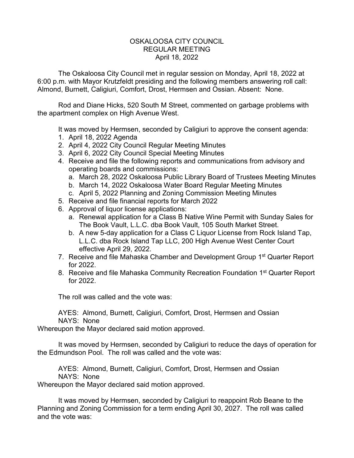## OSKALOOSA CITY COUNCIL REGULAR MEETING April 18, 2022

The Oskaloosa City Council met in regular session on Monday, April 18, 2022 at 6:00 p.m. with Mayor Krutzfeldt presiding and the following members answering roll call: Almond, Burnett, Caligiuri, Comfort, Drost, Hermsen and Ossian. Absent: None.

Rod and Diane Hicks, 520 South M Street, commented on garbage problems with the apartment complex on High Avenue West.

It was moved by Hermsen, seconded by Caligiuri to approve the consent agenda:

- 1. April 18, 2022 Agenda
- 2. April 4, 2022 City Council Regular Meeting Minutes
- 3. April 6, 2022 City Council Special Meeting Minutes
- 4. Receive and file the following reports and communications from advisory and operating boards and commissions:
	- a. March 28, 2022 Oskaloosa Public Library Board of Trustees Meeting Minutes
	- b. March 14, 2022 Oskaloosa Water Board Regular Meeting Minutes
	- c. April 5, 2022 Planning and Zoning Commission Meeting Minutes
- 5. Receive and file financial reports for March 2022
- 6. Approval of liquor license applications:
	- a. Renewal application for a Class B Native Wine Permit with Sunday Sales for The Book Vault, L.L.C. dba Book Vault, 105 South Market Street.
	- b. A new 5-day application for a Class C Liquor License from Rock Island Tap, L.L.C. dba Rock Island Tap LLC, 200 High Avenue West Center Court effective April 29, 2022.
- 7. Receive and file Mahaska Chamber and Development Group 1<sup>st</sup> Quarter Report for 2022.
- 8. Receive and file Mahaska Community Recreation Foundation 1<sup>st</sup> Quarter Report for 2022.

The roll was called and the vote was:

AYES: Almond, Burnett, Caligiuri, Comfort, Drost, Hermsen and Ossian NAYS: None

Whereupon the Mayor declared said motion approved.

It was moved by Hermsen, seconded by Caligiuri to reduce the days of operation for the Edmundson Pool. The roll was called and the vote was:

AYES: Almond, Burnett, Caligiuri, Comfort, Drost, Hermsen and Ossian NAYS: None

Whereupon the Mayor declared said motion approved.

It was moved by Hermsen, seconded by Caligiuri to reappoint Rob Beane to the Planning and Zoning Commission for a term ending April 30, 2027. The roll was called and the vote was: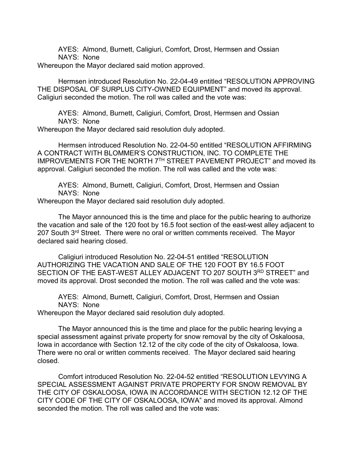AYES: Almond, Burnett, Caligiuri, Comfort, Drost, Hermsen and Ossian NAYS: None

Whereupon the Mayor declared said motion approved.

Hermsen introduced Resolution No. 22-04-49 entitled "RESOLUTION APPROVING THE DISPOSAL OF SURPLUS CITY-OWNED EQUIPMENT" and moved its approval. Caligiuri seconded the motion. The roll was called and the vote was:

AYES: Almond, Burnett, Caligiuri, Comfort, Drost, Hermsen and Ossian NAYS: None

Whereupon the Mayor declared said resolution duly adopted.

Hermsen introduced Resolution No. 22-04-50 entitled "RESOLUTION AFFIRMING A CONTRACT WITH BLOMMER'S CONSTRUCTION, INC. TO COMPLETE THE IMPROVEMENTS FOR THE NORTH 7TH STREET PAVEMENT PROJECT" and moved its approval. Caligiuri seconded the motion. The roll was called and the vote was:

AYES: Almond, Burnett, Caligiuri, Comfort, Drost, Hermsen and Ossian NAYS: None

Whereupon the Mayor declared said resolution duly adopted.

The Mayor announced this is the time and place for the public hearing to authorize the vacation and sale of the 120 foot by 16.5 foot section of the east-west alley adjacent to 207 South 3<sup>rd</sup> Street. There were no oral or written comments received. The Mayor declared said hearing closed.

Caligiuri introduced Resolution No. 22-04-51 entitled "RESOLUTION AUTHORIZING THE VACATION AND SALE OF THE 120 FOOT BY 16.5 FOOT SECTION OF THE EAST-WEST ALLEY ADJACENT TO 207 SOUTH 3RD STREET" and moved its approval. Drost seconded the motion. The roll was called and the vote was:

AYES: Almond, Burnett, Caligiuri, Comfort, Drost, Hermsen and Ossian NAYS: None

Whereupon the Mayor declared said resolution duly adopted.

The Mayor announced this is the time and place for the public hearing levying a special assessment against private property for snow removal by the city of Oskaloosa, Iowa in accordance with Section 12.12 of the city code of the city of Oskaloosa, Iowa. There were no oral or written comments received. The Mayor declared said hearing closed.

Comfort introduced Resolution No. 22-04-52 entitled "RESOLUTION LEVYING A SPECIAL ASSESSMENT AGAINST PRIVATE PROPERTY FOR SNOW REMOVAL BY THE CITY OF OSKALOOSA, IOWA IN ACCORDANCE WITH SECTION 12.12 OF THE CITY CODE OF THE CITY OF OSKALOOSA, IOWA" and moved its approval. Almond seconded the motion. The roll was called and the vote was: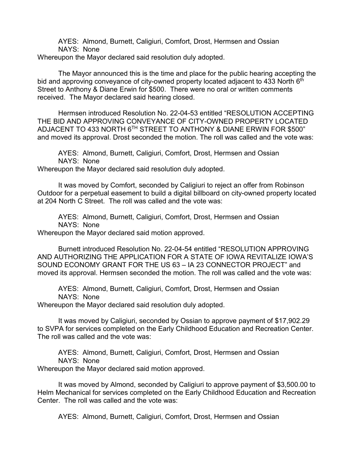AYES: Almond, Burnett, Caligiuri, Comfort, Drost, Hermsen and Ossian NAYS: None

Whereupon the Mayor declared said resolution duly adopted.

The Mayor announced this is the time and place for the public hearing accepting the bid and approving conveyance of city-owned property located adjacent to 433 North 6<sup>th</sup> Street to Anthony & Diane Erwin for \$500. There were no oral or written comments received. The Mayor declared said hearing closed.

Hermsen introduced Resolution No. 22-04-53 entitled "RESOLUTION ACCEPTING THE BID AND APPROVING CONVEYANCE OF CITY-OWNED PROPERTY LOCATED ADJACENT TO 433 NORTH 6TH STREET TO ANTHONY & DIANE ERWIN FOR \$500" and moved its approval. Drost seconded the motion. The roll was called and the vote was:

AYES: Almond, Burnett, Caligiuri, Comfort, Drost, Hermsen and Ossian NAYS: None

Whereupon the Mayor declared said resolution duly adopted.

It was moved by Comfort, seconded by Caligiuri to reject an offer from Robinson Outdoor for a perpetual easement to build a digital billboard on city-owned property located at 204 North C Street. The roll was called and the vote was:

AYES: Almond, Burnett, Caligiuri, Comfort, Drost, Hermsen and Ossian NAYS: None

Whereupon the Mayor declared said motion approved.

Burnett introduced Resolution No. 22-04-54 entitled "RESOLUTION APPROVING AND AUTHORIZING THE APPLICATION FOR A STATE OF IOWA REVITALIZE IOWA'S SOUND ECONOMY GRANT FOR THE US 63 – IA 23 CONNECTOR PROJECT" and moved its approval. Hermsen seconded the motion. The roll was called and the vote was:

AYES: Almond, Burnett, Caligiuri, Comfort, Drost, Hermsen and Ossian NAYS: None

Whereupon the Mayor declared said resolution duly adopted.

It was moved by Caligiuri, seconded by Ossian to approve payment of \$17,902.29 to SVPA for services completed on the Early Childhood Education and Recreation Center. The roll was called and the vote was:

AYES: Almond, Burnett, Caligiuri, Comfort, Drost, Hermsen and Ossian NAYS: None

Whereupon the Mayor declared said motion approved.

It was moved by Almond, seconded by Caligiuri to approve payment of \$3,500.00 to Helm Mechanical for services completed on the Early Childhood Education and Recreation Center. The roll was called and the vote was:

AYES: Almond, Burnett, Caligiuri, Comfort, Drost, Hermsen and Ossian